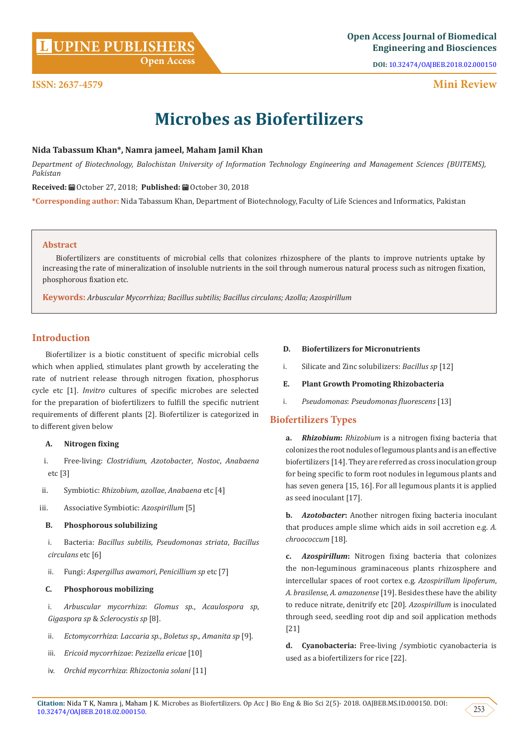**DOI:** [10.32474/OAJBEB.2018.02.000150](http://dx.doi.org/10.32474/OAJBEB.2018.02.000150)

# **Mini Review**

# **Microbes as Biofertilizers**

# **Nida Tabassum Khan\*, Namra jameel, Maham Jamil Khan**

*Department of Biotechnology, Balochistan University of Information Technology Engineering and Management Sciences (BUITEMS), Pakistan*

Received: *a* October 27, 2018; Published: a October 30, 2018

**\*Corresponding author:** Nida Tabassum Khan, Department of Biotechnology, Faculty of Life Sciences and Informatics, Pakistan

#### **Abstract**

**ISSN: 2637-4579**

Biofertilizers are constituents of microbial cells that colonizes rhizosphere of the plants to improve nutrients uptake by increasing the rate of mineralization of insoluble nutrients in the soil through numerous natural process such as nitrogen fixation, phosphorous fixation etc.

**Keywords:** *Arbuscular Mycorrhiza; Bacillus subtilis; Bacillus circulans; Azolla; Azospirillum*

# **Introduction**

Biofertilizer is a biotic constituent of specific microbial cells which when applied, stimulates plant growth by accelerating the rate of nutrient release through nitrogen fixation, phosphorus cycle etc [1]. *Invitro* cultures of specific microbes are selected for the preparation of biofertilizers to fulfill the specific nutrient requirements of different plants [2]. Biofertilizer is categorized in to different given below

#### **A. Nitrogen fixing**

- i. Free-living: *Clostridium*, *Azotobacter*, *Nostoc*, *Anabaena* etc [3]
- ii. Symbiotic: *Rhizobium*, *azollae*, *Anabaena* etc [4]
- iii. Associative Symbiotic: *Azospirillum* [5]

#### **B. Phosphorous solubilizing**

i. Bacteria: *Bacillus subtilis*, *Pseudomonas striata*, *Bacillus circulans* etc [6]

ii. Fungi: *Aspergillus awamori*, *Penicillium sp* etc [7]

#### **C. Phosphorous mobilizing**

i. *Arbuscular mycorrhiza*: *Glomus sp*., *Acaulospora sp*, *Gigaspora sp* & *Sclerocystis sp* [8].

- ii. *Ectomycorrhiza*: *Laccaria sp*., *Boletus sp*., *Amanita sp* [9].
- iii. *Ericoid mycorrhizae*: *Pezizella ericae* [10]
- iv. *Orchid mycorrhiza*: *Rhizoctonia solani* [11]

## **D. Biofertilizers for Micronutrients**

- i. Silicate and Zinc solubilizers: *Bacillus sp* [12]
- **E. Plant Growth Promoting Rhizobacteria**
- i. *Pseudomonas*: *Pseudomonas fluorescens* [13]

# **Biofertilizers Types**

**a.** *Rhizobium***:** *Rhizobium* is a nitrogen fixing bacteria that colonizes the root nodules of legumous plants and is an effective biofertilizers [14]. They are referred as cross inoculation group for being specific to form root nodules in legumous plants and has seven genera [15, 16]. For all legumous plants it is applied as seed inoculant [17].

**b.** *Azotobacter***:** Another nitrogen fixing bacteria inoculant that produces ample slime which aids in soil accretion e.g. *A. chroococcum* [18].

**c.** *Azospirillum***:** Nitrogen fixing bacteria that colonizes the non-leguminous graminaceous plants rhizosphere and intercellular spaces of root cortex e.g. *Azospirillum lipoferum*, *A. brasilense*, *A. amazonense* [19]. Besides these have the ability to reduce nitrate, denitrify etc [20]. *Azospirillum* is inoculated through seed, seedling root dip and soil application methods [21]

**d. Cyanobacteria:** Free-living /symbiotic cyanobacteria is used as a biofertilizers for rice [22].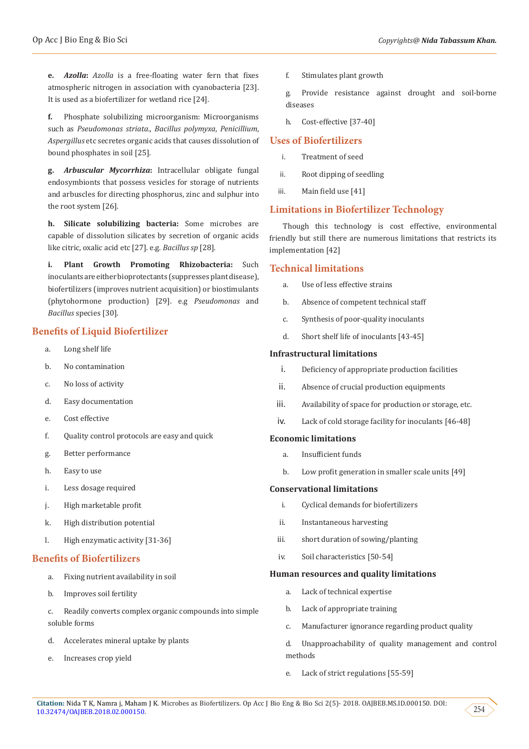**e.** *Azolla***:** *Azolla* is a free-floating water fern that fixes atmospheric nitrogen in association with cyanobacteria [23]. It is used as a biofertilizer for wetland rice [24].

**f.** Phosphate solubilizing microorganism: Microorganisms such as *Pseudomonas striata*., *Bacillus polymyxa*, *Penicillium*, *Aspergillus* etc secretes organic acids that causes dissolution of bound phosphates in soil [25].

**g.** *Arbuscular Mycorrhiza***:** Intracellular obligate fungal endosymbionts that possess vesicles for storage of nutrients and arbuscles for directing phosphorus, zinc and sulphur into the root system [26].

**h. Silicate solubilizing bacteria:** Some microbes are capable of dissolution silicates by secretion of organic acids like citric, oxalic acid etc [27]. e.g. *Bacillus sp* [28].

**i. Plant Growth Promoting Rhizobacteria:** Such inoculants are either bioprotectants (suppresses plant disease), biofertilizers (improves nutrient acquisition) or biostimulants (phytohormone production) [29]. e.g *Pseudomonas* and *Bacillus* species [30].

# **Benefits of Liquid Biofertilizer**

- a. Long shelf life
- b. No contamination
- c. No loss of activity
- d. Easy documentation
- e. Cost effective
- f. Quality control protocols are easy and quick
- g. Better performance
- h. Easy to use
- i. Less dosage required
- j. High marketable profit
- k. High distribution potential
- l. High enzymatic activity [31-36]

#### **Benefits of Biofertilizers**

- a. Fixing nutrient availability in soil
- b. Improves soil fertility
- c. Readily converts complex organic compounds into simple soluble forms
- d. Accelerates mineral uptake by plants
- e. Increases crop yield

f. Stimulates plant growth

g. Provide resistance against drought and soil-borne diseases

h. Cost-effective [37-40]

# **Uses of Biofertilizers**

- i. Treatment of seed
- ii. Root dipping of seedling
- iii. Main field use [41]

# **Limitations in Biofertilizer Technology**

Though this technology is cost effective, environmental friendly but still there are numerous limitations that restricts its implementation [42]

## **Technical limitations**

- a. Use of less effective strains
- b. Absence of competent technical staff
- c. Synthesis of poor-quality inoculants
- d. Short shelf life of inoculants [43-45]

#### **Infrastructural limitations**

- i. Deficiency of appropriate production facilities
- ii. Absence of crucial production equipments
- iii. Availability of space for production or storage, etc.
- iv. Lack of cold storage facility for inoculants [46-48]

#### **Economic limitations**

- a. Insufficient funds
- b. Low profit generation in smaller scale units [49]

#### **Conservational limitations**

- i. Cyclical demands for biofertilizers
- ii. Instantaneous harvesting
- iii. short duration of sowing/planting
- iv. Soil characteristics [50-54]

#### **Human resources and quality limitations**

- a. Lack of technical expertise
- b. Lack of appropriate training
- c. Manufacturer ignorance regarding product quality

d. Unapproachability of quality management and control methods

e. Lack of strict regulations [55-59]

254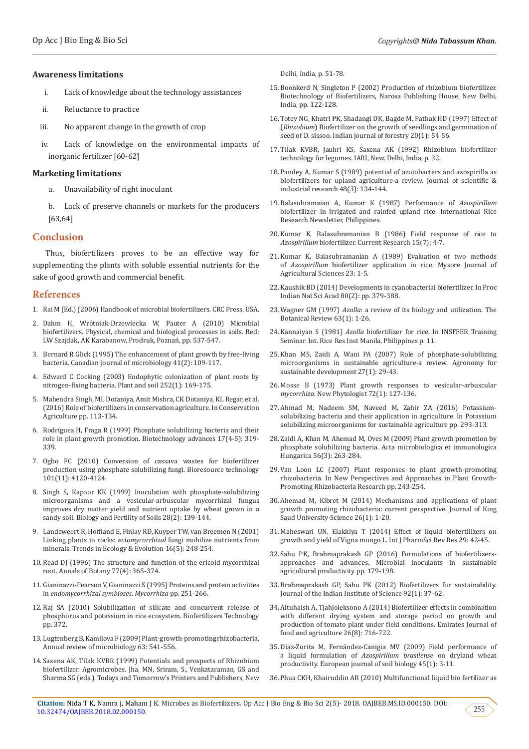#### **Awareness limitations**

- i. Lack of knowledge about the technology assistances
- ii. Reluctance to practice
- iii. No apparent change in the growth of crop
- iv. Lack of knowledge on the environmental impacts of inorganic fertilizer [60-62]

#### **Marketing limitations**

- a. Unavailability of right inoculant
- Lack of preserve channels or markets for the producers [63,64]

#### **Conclusion**

Thus, biofertilizers proves to be an effective way for supplementing the plants with soluble essential nutrients for the sake of good growth and commercial benefit.

#### **References**

- 1. Rai M (Ed.) (2006) Handbook of microbial biofertilizers. CRC Press, USA.
- 2. Dahm H, Wrótniak-Drzewiecka W, Pauter A (2010) Microbial biofertilizers. Physical, chemical and biological processes in soils. Red: LW Szajdak, AK Karabanow, Prodruk, Poznań, pp. 537-547.
- 3. Bernard R Glick (1995) The enhancement of plant growth by free-living bacteria. Canadian journal of microbiology 41(2): 109-117.
- 4. [Edward C Cocking \(2003\) Endophytic colonization of plant roots by](https://link.springer.com/article/10.1023/A:1024106605806)  [nitrogen-fixing bacteria. Plant and soil 252\(1\): 169-175.](https://link.springer.com/article/10.1023/A:1024106605806)
- 5. [Mahendra Singh, ML Dotaniya, Amit Mishra, CK Dotaniya, KL Regar, et al.](https://link.springer.com/chapter/10.1007/978-981-10-2558-7_4)  [\(2016\) Role of biofertilizers in conservation agriculture. In Conservation](https://link.springer.com/chapter/10.1007/978-981-10-2558-7_4)  [Agriculture pp. 113-134.](https://link.springer.com/chapter/10.1007/978-981-10-2558-7_4)
- 6. Rodríguez H, Fraga R (1999) Phosphate solubilizing bacteria and their [role in plant growth promotion. Biotechnology advances 17\(4-5\): 319-](https://www.ncbi.nlm.nih.gov/pubmed/14538133) [339.](https://www.ncbi.nlm.nih.gov/pubmed/14538133)
- 7. [Ogbo FC \(2010\) Conversion of cassava wastes for biofertilizer](https://www.ncbi.nlm.nih.gov/pubmed/20138509)  [production using phosphate solubilizing fungi. Bioresource technology](https://www.ncbi.nlm.nih.gov/pubmed/20138509)  [101\(11\): 4120-4124.](https://www.ncbi.nlm.nih.gov/pubmed/20138509)
- 8. [Singh S, Kapoor KK \(1999\) Inoculation with phosphate-solubilizing](https://link.springer.com/article/10.1007/s003740050475)  [microorganisms and a vesicular-arbuscular mycorrhizal fungus](https://link.springer.com/article/10.1007/s003740050475)  [improves dry matter yield and nutrient uptake by wheat grown in a](https://link.springer.com/article/10.1007/s003740050475)  [sandy soil. Biology and Fertility of Soils 28\(2\): 139-144.](https://link.springer.com/article/10.1007/s003740050475)
- 9. [Landeweert R, Hoffland E, Finlay RD, Kuyper TW, van Breemen N \(2001\)](https://www.ncbi.nlm.nih.gov/pubmed/11301154)  Linking plants to rocks: *ectomycorrhizal* [fungi mobilize nutrients from](https://www.ncbi.nlm.nih.gov/pubmed/11301154)  [minerals. Trends in Ecology & Evolution 16\(5\): 248-254.](https://www.ncbi.nlm.nih.gov/pubmed/11301154)
- 10. [Read DJ \(1996\) The structure and function of the ericoid mycorrhizal](https://www.sciencedirect.com/science/article/pii/S030573649690044X)  [root. Annals of Botany 77\(4\): 365-374.](https://www.sciencedirect.com/science/article/pii/S030573649690044X)
- 11. [Gianinazzi-Pearson V, Gianinazzi S \(1995\) Proteins and protein activities](https://link.springer.com/chapter/10.1007/978-3-662-03779-9_11)  in *[endomycorrhizal symbioses](https://link.springer.com/chapter/10.1007/978-3-662-03779-9_11)*. *Mycorrhiza* pp. 251-266.
- 12. Raj SA (2010) Solubilization of silicate and concurrent release of phosphorus and potassium in rice ecosystem. Biofertilizers Technology pp. 372.
- 13. [Lugtenberg B, Kamilova F \(2009\) Plant-growth-promoting rhizobacteria.](https://www.ncbi.nlm.nih.gov/pubmed/19575558)  [Annual review of microbiology 63: 541-556.](https://www.ncbi.nlm.nih.gov/pubmed/19575558)
- 14. Saxena AK, Tilak KVBR (1999) Potentials and prospects of Rhizobium biofertilizer. Agromicrobes. Jha, MN, Sriram, S., Venkataraman, GS and Sharma SG (eds.). Todays and Tomorrow's Printers and Publishers, New

Delhi, India, p. 51-78.

- 15. Boonkerd N, Singleton P (2002) Production of rhizobium biofertilizer. Biotechnology of Biofertilizers, Narosa Publishing House, New Delhi, India, pp. 122-128.
- 16. Totey NG, Khatri PK, Shadangi DK, Bagde M, Pathak HD (1997) Effect of (*Rhizobium*) Biofertilizer on the growth of seedlings and germination of seed of D. sissoo. Indian journal of forestry 20(1): 54-56.
- 17. Tilak KVBR, Jauhri KS, Saxena AK (1992) Rhizobium biofertilizer technology for legumes. IARI, New. Delhi, India, p. 32.
- 18. Pandey A, Kumar S (1989) potential of azotobacters and azospirilla as biofertilizers for upland agriculture-a review. Journal of scientific & industrial research 48(3): 134-144.
- 19. Balasubramaian A, Kumar K (1987) Performance of *Azospirillum* biofertilizer in irrigated and rainfed upland rice. International Rice Research Newsletter, Philippines.
- 20. Kumar K, Balasubramanian B (1986) Field response of rice to *Azospirillum* biofertilizer. Current Research 15(7): 4-7.
- 21. Kumar K, Balasubramanian A (1989) Evaluation of two methods of *Azospirillum* biofertilizer application in rice. Mysore Journal of Agricultural Sciences 23: 1-5.
- 22. [Kaushik BD \(2014\) Developments in cyanobacterial biofertilizer. In Proc](https://www.insa.nic.in/writereaddata/UpLoadedFiles/PINSA/Vol80_2014_2_Art21.pdf) [Indian Nat Sci Acad 80\(2\): pp. 379-388.](https://www.insa.nic.in/writereaddata/UpLoadedFiles/PINSA/Vol80_2014_2_Art21.pdf)
- 23. Wagner GM (1997) *Azolla*[: a review of its biology and utilization. The](https://link.springer.com/article/10.1007/BF02857915) [Botanical Review 63\(1\): 1-26.](https://link.springer.com/article/10.1007/BF02857915)
- 24. Kannaiyan S (1981) *Azolla* biofertilizer for rice. In INSFFER Training Seminar. Int. Rice Res Inst Manila, Philippines p. 11.
- 25. [Khan MS, Zaidi A, Wani PA \(2007\) Role of phosphate-solubilizing](https://link.springer.com/article/10.1051/agro:2006011) [microorganisms in sustainable agriculture-a review. Agronomy for](https://link.springer.com/article/10.1051/agro:2006011) [sustainable development 27\(1\): 29-43.](https://link.springer.com/article/10.1051/agro:2006011)
- 26. Mosse B (1973) Plant growth responses to vesicular-arbuscular *mycorrhiza*. New Phytologist 72(1): 127-136.
- 27. [Ahmad M, Nadeem SM, Naveed M, Zahir ZA \(2016\) Potassium](https://link.springer.com/chapter/10.1007/978-81-322-2776-2_21)[solubilizing bacteria and their application in agriculture. In Potassium](https://link.springer.com/chapter/10.1007/978-81-322-2776-2_21) [solubilizing microorganisms for sustainable agriculture pp. 293-313.](https://link.springer.com/chapter/10.1007/978-81-322-2776-2_21)
- 28. [Zaidi A, Khan M, Ahemad M, Oves M \(2009\) Plant growth promotion by](https://www.ncbi.nlm.nih.gov/pubmed/19789141) [phosphate solubilizing bacteria. Acta microbiologica et immunologica](https://www.ncbi.nlm.nih.gov/pubmed/19789141) [Hungarica 56\(3\): 263-284.](https://www.ncbi.nlm.nih.gov/pubmed/19789141)
- 29. [Van Loon LC \(2007\) Plant responses to plant growth-promoting](https://link.springer.com/article/10.1007/s10658-007-9165-1) [rhizobacteria. In New Perspectives and Approaches in Plant Growth-](https://link.springer.com/article/10.1007/s10658-007-9165-1)[Promoting Rhizobacteria Research pp. 243-254.](https://link.springer.com/article/10.1007/s10658-007-9165-1)
- 30. [Ahemad M, Kibret M \(2014\) Mechanisms and applications of plant](https://www.sciencedirect.com/science/article/pii/S1018364713000293) [growth promoting rhizobacteria: current perspective. Journal of King](https://www.sciencedirect.com/science/article/pii/S1018364713000293) [Saud University-Science 26\(1\): 1-20.](https://www.sciencedirect.com/science/article/pii/S1018364713000293)
- 31. [Maheswari UN, Elakkiya T \(2014\) Effect of liquid biofertilizers on](https://www.researchgate.net/profile/Anoop_Srivastava7/post/What_is_the_efficacy_of_liquid_biofertilizers_eg_compost_tea_in_the_production_of_fruits_and_vegetables/attachment/5aba3178b53d2f0bba5a9476/AS%3A608762649903104%401522151734261/download/09.pdf) [growth and yield of Vigna mungo L. Int J PharmSci Rev Res 29: 42-45.](https://www.researchgate.net/profile/Anoop_Srivastava7/post/What_is_the_efficacy_of_liquid_biofertilizers_eg_compost_tea_in_the_production_of_fruits_and_vegetables/attachment/5aba3178b53d2f0bba5a9476/AS%3A608762649903104%401522151734261/download/09.pdf)
- 32. [Sahu PK, Brahmaprakash GP \(2016\) Formulations of biofertilizers](https://link.springer.com/chapter/10.1007/978-81-322-2644-4_12)[approaches and advances. Microbial inoculants in sustainable](https://link.springer.com/chapter/10.1007/978-81-322-2644-4_12) [agricultural productivity pp. 179-198.](https://link.springer.com/chapter/10.1007/978-81-322-2644-4_12)
- 33. [Brahmaprakash GP, Sahu PK \(2012\) Biofertilizers for sustainability.](http://journal.iisc.ernet.in/index.php/iisc/article/view/22) [Journal of the Indian Institute of Science 92\(1\): 37-62.](http://journal.iisc.ernet.in/index.php/iisc/article/view/22)
- 34. [Altuhaish A, Tjahjoleksono A \(2014\) Biofertilizer effects in combination](https://www.ejfa.me/index.php/journal/article/view/526) [with different drying system and storage period on growth and](https://www.ejfa.me/index.php/journal/article/view/526) [production of tomato plant under field conditions. Emirates Journal of](https://www.ejfa.me/index.php/journal/article/view/526) [food and agriculture 26\(8\): 716-722.](https://www.ejfa.me/index.php/journal/article/view/526)
- 35. [Díaz-Zorita M, Fernández-Canigia MV \(2009\) Field performance of](https://www.sciencedirect.com/science/article/abs/pii/S1164556308000733) a liquid formulation of *Azospirillum brasilense* on dryland wheat [productivity. European journal of soil biology 45\(1\): 3-11.](https://www.sciencedirect.com/science/article/abs/pii/S1164556308000733)
- 36. [Phua CKH, Khairuddin AR \(2010\) Multifunctional liquid bio fertilizer as](https://inis.iaea.org/search/search.aspx?orig_q=RN:43056435)